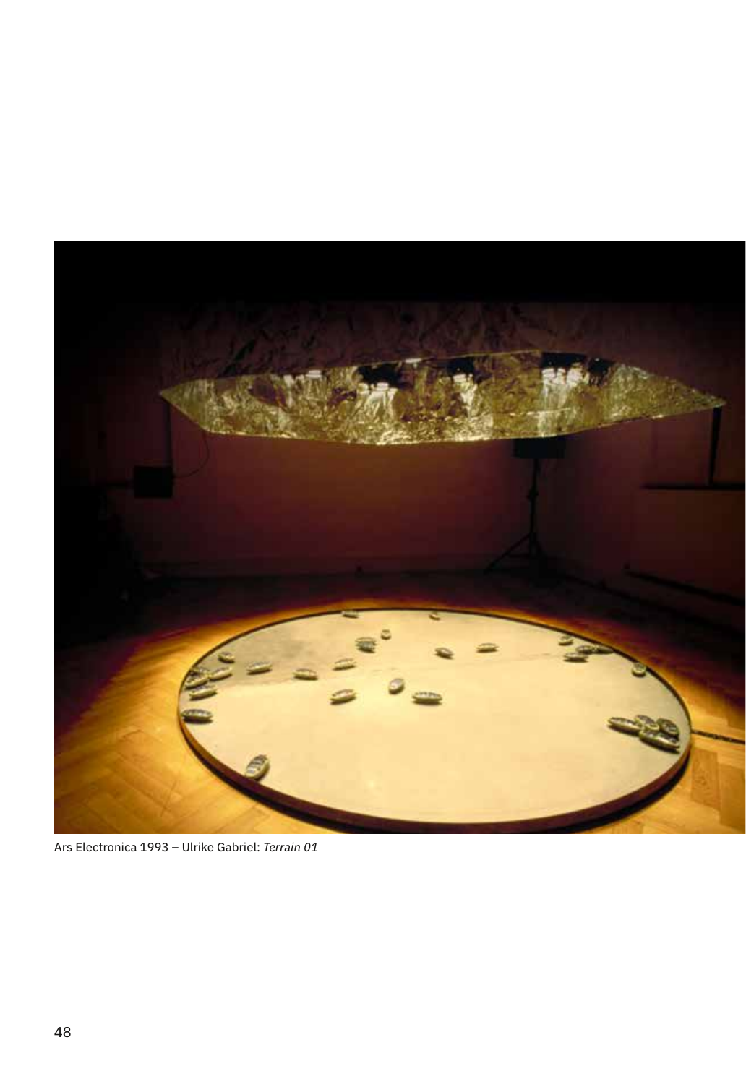

Ars Electronica 1993 – Ulrike Gabriel: *Terrain 01*